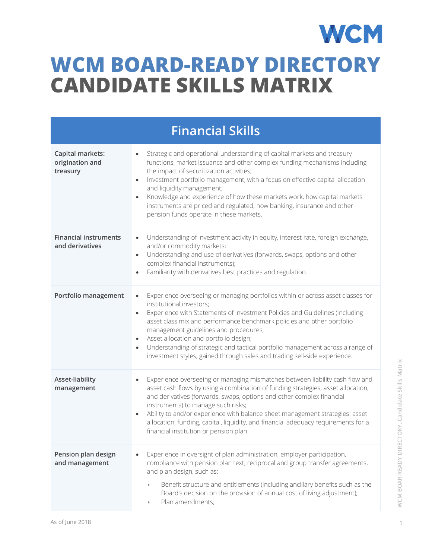## **WCM WCM BOARD-READY DIRECTORY CANDIDATE SKILLS MATRIX**

| <b>Financial Skills</b>                         |                                                                                                                                                                                                                                                                                                                                                                                                                                                                                                                                                                            |  |
|-------------------------------------------------|----------------------------------------------------------------------------------------------------------------------------------------------------------------------------------------------------------------------------------------------------------------------------------------------------------------------------------------------------------------------------------------------------------------------------------------------------------------------------------------------------------------------------------------------------------------------------|--|
| Capital markets:<br>origination and<br>treasury | Strategic and operational understanding of capital markets and treasury<br>functions, market issuance and other complex funding mechanisms including<br>the impact of securitization activities;<br>Investment portfolio management, with a focus on effective capital allocation<br>$\bullet$<br>and liquidity management;<br>Knowledge and experience of how these markets work, how capital markets<br>$\bullet$<br>instruments are priced and regulated, how banking, insurance and other<br>pension funds operate in these markets.                                   |  |
| <b>Financial instruments</b><br>and derivatives | Understanding of investment activity in equity, interest rate, foreign exchange,<br>$\bullet$<br>and/or commodity markets;<br>Understanding and use of derivatives (forwards, swaps, options and other<br>complex financial instruments);<br>Familiarity with derivatives best practices and regulation.                                                                                                                                                                                                                                                                   |  |
| Portfolio management                            | Experience overseeing or managing portfolios within or across asset classes for<br>$\bullet$<br>institutional investors;<br>Experience with Statements of Investment Policies and Guidelines (including<br>$\bullet$<br>asset class mix and performance benchmark policies and other portfolio<br>management guidelines and procedures;<br>Asset allocation and portfolio design;<br>$\bullet$<br>Understanding of strategic and tactical portfolio management across a range of<br>$\bullet$<br>investment styles, gained through sales and trading sell-side experience. |  |
| Asset-liability<br>management                   | Experience overseeing or managing mismatches between liability cash flow and<br>$\bullet$<br>asset cash flows by using a combination of funding strategies, asset allocation,<br>and derivatives (forwards, swaps, options and other complex financial<br>instruments) to manage such risks;<br>Ability to and/or experience with balance sheet management strategies: asset<br>$\bullet$<br>allocation, funding, capital, liquidity, and financial adequacy requirements for a<br>financial institution or pension plan.                                                  |  |
| Pension plan design<br>and management           | Experience in oversight of plan administration, employer participation,<br>compliance with pension plan text, reciprocal and group transfer agreements,<br>and plan design, such as:<br>Benefit structure and entitlements (including ancillary benefits such as the<br>Board's decision on the provision of annual cost of living adjustment);<br>Plan amendments;<br>$\blacktriangleright$                                                                                                                                                                               |  |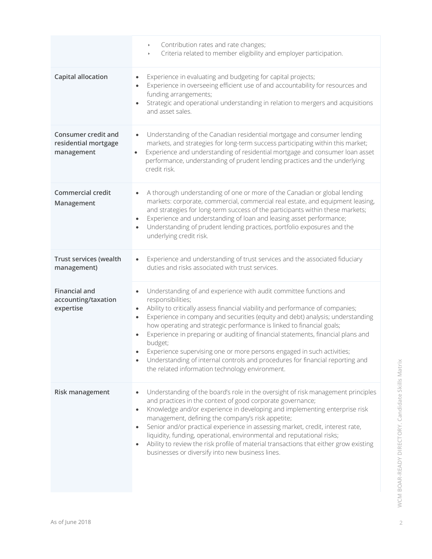|                                                           | Contribution rates and rate changes;<br>$\blacktriangleright$<br>Criteria related to member eligibility and employer participation.<br>$\blacktriangleright$                                                                                                                                                                                                                                                                                                                                                                                                                                                                                                                                          |
|-----------------------------------------------------------|-------------------------------------------------------------------------------------------------------------------------------------------------------------------------------------------------------------------------------------------------------------------------------------------------------------------------------------------------------------------------------------------------------------------------------------------------------------------------------------------------------------------------------------------------------------------------------------------------------------------------------------------------------------------------------------------------------|
| <b>Capital allocation</b>                                 | Experience in evaluating and budgeting for capital projects;<br>$\bullet$<br>Experience in overseeing efficient use of and accountability for resources and<br>$\bullet$<br>funding arrangements;<br>Strategic and operational understanding in relation to mergers and acquisitions<br>$\bullet$<br>and asset sales.                                                                                                                                                                                                                                                                                                                                                                                 |
| Consumer credit and<br>residential mortgage<br>management | Understanding of the Canadian residential mortgage and consumer lending<br>$\bullet$<br>markets, and strategies for long-term success participating within this market;<br>Experience and understanding of residential mortgage and consumer loan asset<br>$\bullet$<br>performance, understanding of prudent lending practices and the underlying<br>credit risk.                                                                                                                                                                                                                                                                                                                                    |
| <b>Commercial credit</b><br>Management                    | A thorough understanding of one or more of the Canadian or global lending<br>$\bullet$<br>markets: corporate, commercial, commercial real estate, and equipment leasing,<br>and strategies for long-term success of the participants within these markets;<br>Experience and understanding of loan and leasing asset performance;<br>٠<br>Understanding of prudent lending practices, portfolio exposures and the<br>underlying credit risk.                                                                                                                                                                                                                                                          |
| Trust services (wealth<br>management)                     | Experience and understanding of trust services and the associated fiduciary<br>$\bullet$<br>duties and risks associated with trust services.                                                                                                                                                                                                                                                                                                                                                                                                                                                                                                                                                          |
| <b>Financial and</b><br>accounting/taxation<br>expertise  | Understanding of and experience with audit committee functions and<br>$\bullet$<br>responsibilities;<br>Ability to critically assess financial viability and performance of companies;<br>$\bullet$<br>Experience in company and securities (equity and debt) analysis; understanding<br>$\bullet$<br>how operating and strategic performance is linked to financial goals;<br>Experience in preparing or auditing of financial statements, financial plans and<br>$\bullet$<br>budget;<br>Experience supervising one or more persons engaged in such activities;<br>Understanding of internal controls and procedures for financial reporting and<br>the related information technology environment. |
| Risk management                                           | Understanding of the board's role in the oversight of risk management principles<br>$\bullet$<br>and practices in the context of good corporate governance;<br>Knowledge and/or experience in developing and implementing enterprise risk<br>$\bullet$<br>management, defining the company's risk appetite;<br>Senior and/or practical experience in assessing market, credit, interest rate,<br>$\bullet$<br>liquidity, funding, operational, environmental and reputational risks;<br>Ability to review the risk profile of material transactions that either grow existing<br>$\bullet$<br>businesses or diversify into new business lines.                                                        |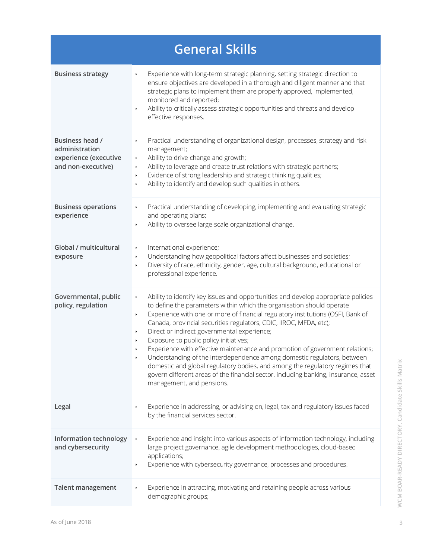| <b>General Skills</b>                                                            |                                                                                                                                                                                                                                                                                                                                                                                                                                                                                                                                                                                                                                                                                                                                                                                                                                                                                 |  |
|----------------------------------------------------------------------------------|---------------------------------------------------------------------------------------------------------------------------------------------------------------------------------------------------------------------------------------------------------------------------------------------------------------------------------------------------------------------------------------------------------------------------------------------------------------------------------------------------------------------------------------------------------------------------------------------------------------------------------------------------------------------------------------------------------------------------------------------------------------------------------------------------------------------------------------------------------------------------------|--|
| <b>Business strategy</b>                                                         | Experience with long-term strategic planning, setting strategic direction to<br>$\blacktriangleright$<br>ensure objectives are developed in a thorough and diligent manner and that<br>strategic plans to implement them are properly approved, implemented,<br>monitored and reported;<br>Ability to critically assess strategic opportunities and threats and develop<br>$\blacktriangleright$<br>effective responses.                                                                                                                                                                                                                                                                                                                                                                                                                                                        |  |
| Business head /<br>administration<br>experience (executive<br>and non-executive) | Practical understanding of organizational design, processes, strategy and risk<br>$\blacktriangleright$<br>management;<br>Ability to drive change and growth;<br>$\blacktriangleright$<br>Ability to leverage and create trust relations with strategic partners;<br>٠<br>Evidence of strong leadership and strategic thinking qualities;<br>$\blacktriangleright$<br>Ability to identify and develop such qualities in others.<br>$\blacktriangleright$                                                                                                                                                                                                                                                                                                                                                                                                                        |  |
| <b>Business operations</b><br>experience                                         | Practical understanding of developing, implementing and evaluating strategic<br>$\blacktriangleright$<br>and operating plans;<br>Ability to oversee large-scale organizational change.<br>$\blacktriangleright$                                                                                                                                                                                                                                                                                                                                                                                                                                                                                                                                                                                                                                                                 |  |
| Global / multicultural<br>exposure                                               | International experience;<br>$\blacktriangleright$<br>Understanding how geopolitical factors affect businesses and societies;<br>$\blacktriangleright$<br>Diversity of race, ethnicity, gender, age, cultural background, educational or<br>$\blacktriangleright$<br>professional experience.                                                                                                                                                                                                                                                                                                                                                                                                                                                                                                                                                                                   |  |
| Governmental, public<br>policy, regulation                                       | Ability to identify key issues and opportunities and develop appropriate policies<br>$\blacktriangleright$<br>to define the parameters within which the organisation should operate<br>Experience with one or more of financial regulatory institutions (OSFI, Bank of<br>$\blacktriangleright$<br>Canada, provincial securities regulators, CDIC, IIROC, MFDA, etc);<br>Direct or indirect governmental experience;<br>$\blacktriangleright$<br>Exposure to public policy initiatives;<br>Experience with effective maintenance and promotion of government relations;<br>Understanding of the interdependence among domestic regulators, between<br>$\blacktriangleright$<br>domestic and global regulatory bodies, and among the regulatory regimes that<br>govern different areas of the financial sector, including banking, insurance, asset<br>management, and pensions. |  |
| Legal                                                                            | Experience in addressing, or advising on, legal, tax and regulatory issues faced<br>$\blacktriangleright$<br>by the financial services sector.                                                                                                                                                                                                                                                                                                                                                                                                                                                                                                                                                                                                                                                                                                                                  |  |
| Information technology<br>and cybersecurity                                      | Experience and insight into various aspects of information technology, including<br>$\blacktriangleright$<br>large project governance, agile development methodologies, cloud-based<br>applications;<br>Experience with cybersecurity governance, processes and procedures.<br>$\blacktriangleright$                                                                                                                                                                                                                                                                                                                                                                                                                                                                                                                                                                            |  |
| <b>Talent management</b>                                                         | Experience in attracting, motivating and retaining people across various<br>demographic groups;                                                                                                                                                                                                                                                                                                                                                                                                                                                                                                                                                                                                                                                                                                                                                                                 |  |